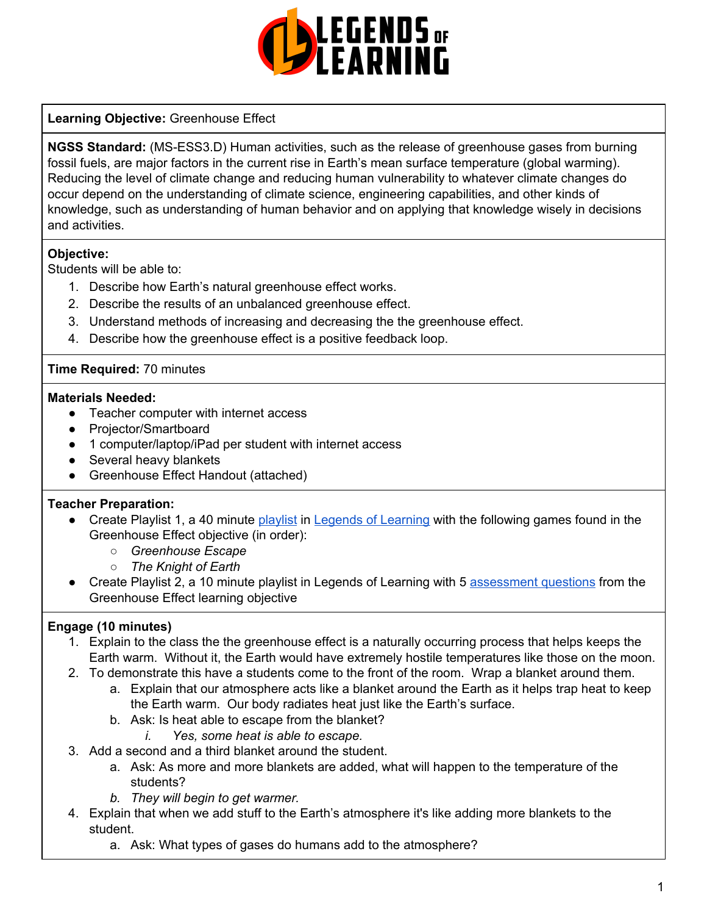

# **Learning Objective:** Greenhouse Effect

**NGSS Standard:** (MS-ESS3.D) Human activities, such as the release of greenhouse gases from burning fossil fuels, are major factors in the current rise in Earth's mean surface temperature (global warming). Reducing the level of climate change and reducing human vulnerability to whatever climate changes do occur depend on the understanding of climate science, engineering capabilities, and other kinds of knowledge, such as understanding of human behavior and on applying that knowledge wisely in decisions and activities.

# **Objective:**

Students will be able to:

- 1. Describe how Earth's natural greenhouse effect works.
- 2. Describe the results of an unbalanced greenhouse effect.
- 3. Understand methods of increasing and decreasing the the greenhouse effect.
- 4. Describe how the greenhouse effect is a positive feedback loop.

#### **Time Required:** 70 minutes

#### **Materials Needed:**

- Teacher computer with internet access
- Projector/Smartboard
- 1 computer/laptop/iPad per student with internet access
- Several heavy blankets
- Greenhouse Effect Handout (attached)

# **Teacher Preparation:**

- Create Playlist 1, a 40 minute [playlist](https://lol.desk.com/customer/en/portal/articles/2822815-creating-multiple-playlists) in Legends of [Learning](https://teachers.legendsoflearning.com/sign-in) with the following games found in the Greenhouse Effect objective (in order):
	- *○ Greenhouse Escape*
	- *○ The Knight of Earth*
- Create Playlist 2, a 10 minute playlist in Legends of Learning with 5 [assessment](https://lol.desk.com/customer/en/portal/articles/2777129-adding-assessments-to-a-playlist) questions from the Greenhouse Effect learning objective

# **Engage (10 minutes)**

- 1. Explain to the class the the greenhouse effect is a naturally occurring process that helps keeps the Earth warm. Without it, the Earth would have extremely hostile temperatures like those on the moon.
- 2. To demonstrate this have a students come to the front of the room. Wrap a blanket around them.
	- a. Explain that our atmosphere acts like a blanket around the Earth as it helps trap heat to keep the Earth warm. Our body radiates heat just like the Earth's surface.
	- b. Ask: Is heat able to escape from the blanket?
		- *i. Yes, some heat is able to escape.*
- 3. Add a second and a third blanket around the student.
	- a. Ask: As more and more blankets are added, what will happen to the temperature of the students?
	- *b. They will begin to get warmer.*
- 4. Explain that when we add stuff to the Earth's atmosphere it's like adding more blankets to the student.
	- a. Ask: What types of gases do humans add to the atmosphere?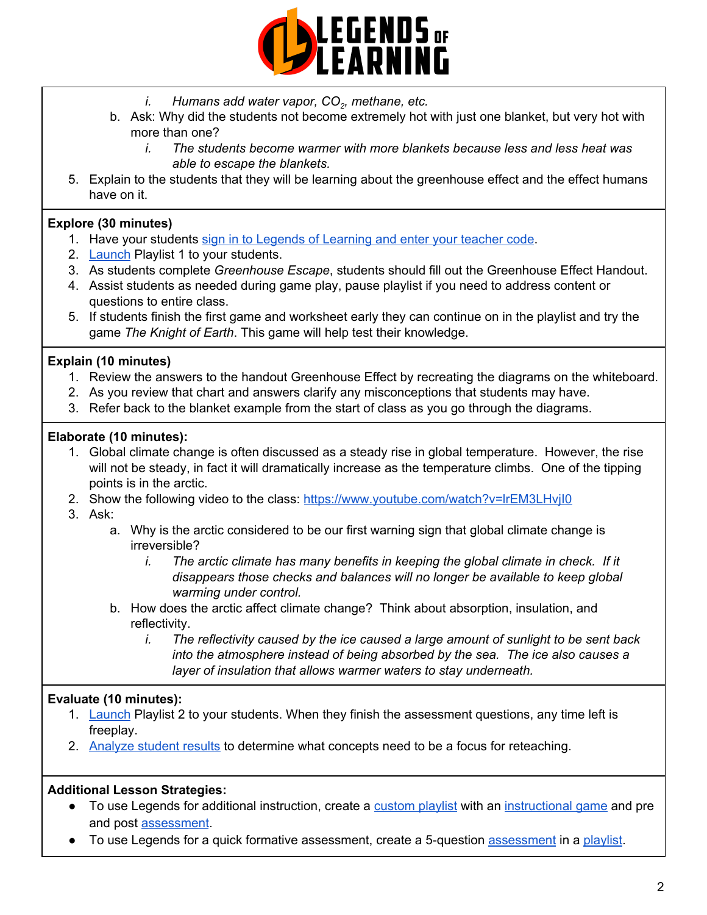

- *i. Humans add water vapor, CO<sup>2</sup> , methane, etc.*
- b. Ask: Why did the students not become extremely hot with just one blanket, but very hot with more than one?
	- *i. The students become warmer with more blankets because less and less heat was able to escape the blankets.*
- 5. Explain to the students that they will be learning about the greenhouse effect and the effect humans have on it.

# **Explore (30 minutes)**

- 1. Have your students sign in to Legends of [Learning](https://lol.desk.com/customer/en/portal/articles/2809984-students-joining-a-playlist) and enter your teacher code.
- 2. [Launch](https://lol.desk.com/customer/en/portal/articles/2822815-creating-multiple-playlists) Playlist 1 to your students.
- 3. As students complete *Greenhouse Escape*, students should fill out the Greenhouse Effect Handout.
- 4. Assist students as needed during game play, pause playlist if you need to address content or questions to entire class.
- 5. If students finish the first game and worksheet early they can continue on in the playlist and try the game *The Knight of Earth*. This game will help test their knowledge.

# **Explain (10 minutes)**

- 1. Review the answers to the handout Greenhouse Effect by recreating the diagrams on the whiteboard.
- 2. As you review that chart and answers clarify any misconceptions that students may have.
- 3. Refer back to the blanket example from the start of class as you go through the diagrams.

# **Elaborate (10 minutes):**

- 1. Global climate change is often discussed as a steady rise in global temperature. However, the rise will not be steady, in fact it will dramatically increase as the temperature climbs. One of the tipping points is in the arctic.
- 2. Show the following video to the class: <https://www.youtube.com/watch?v=lrEM3LHvjI0>
- 3. Ask:
	- a. Why is the arctic considered to be our first warning sign that global climate change is irreversible?
		- *i. The arctic climate has many benefits in keeping the global climate in check. If it disappears those checks and balances will no longer be available to keep global warming under control.*
	- b. How does the arctic affect climate change? Think about absorption, insulation, and reflectivity.
		- *i. The reflectivity caused by the ice caused a large amount of sunlight to be sent back into the atmosphere instead of being absorbed by the sea. The ice also causes a layer of insulation that allows warmer waters to stay underneath.*

# **Evaluate (10 minutes):**

- 1. [Launch](https://lol.desk.com/customer/en/portal/articles/2822815-creating-multiple-playlists) Playlist 2 to your students. When they finish the assessment questions, any time left is freeplay.
- 2. [Analyze](https://lol.desk.com/customer/en/portal/articles/2787419-tracking-student-progress-and-performance) student results to determine what concepts need to be a focus for reteaching.

# **Additional Lesson Strategies:**

- To use Legends for additional instruction, create a [custom](https://intercom.help/legends-of-learning/en/articles/2154910-creating-a-playlist) playlist with an [instructional](https://intercom.help/legends-of-learning/en/articles/3505828-types-of-games) game and pre and post [assessment](https://intercom.help/legends-of-learning/en/articles/2154913-adding-assessments-to-a-playlist).
- To use Legends for a quick formative [assessment](https://intercom.help/legends-of-learning/en/articles/2154913-adding-assessments-to-a-playlist), create a 5-question assessment in a [playlist](https://intercom.help/legends-of-learning/en/articles/2154910-creating-a-playlist).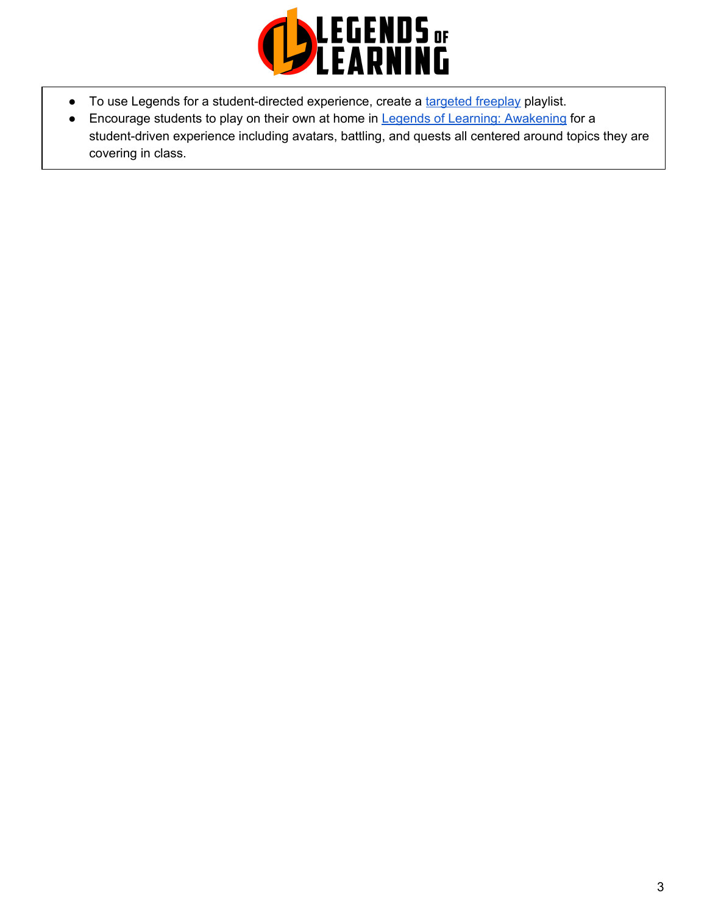

- To use Legends for a student-directed experience, create a [targeted](https://intercom.help/legends-of-learning/en/articles/3340814-targeted-freeplay) freeplay playlist.
- Encourage students to play on their own at home in Legends of Learning: [Awakening](https://intercom.help/legends-of-learning/en/articles/2425490-legends-of-learning-awakening) for a student-driven experience including avatars, battling, and quests all centered around topics they are covering in class.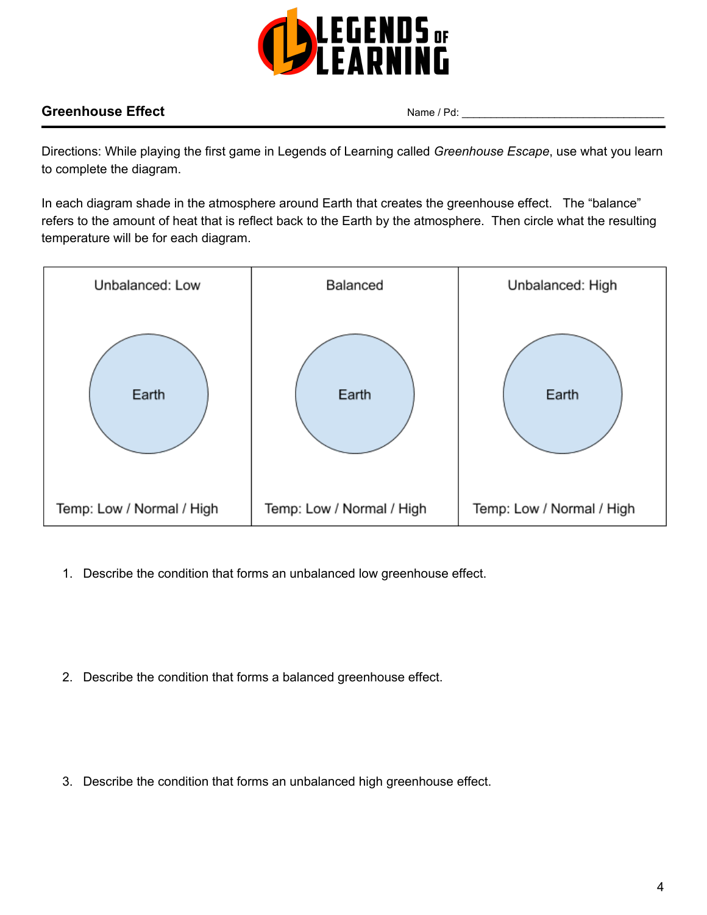

# **Greenhouse Effect** Name / Pd:

Directions: While playing the first game in Legends of Learning called *Greenhouse Escape*, use what you learn to complete the diagram.

In each diagram shade in the atmosphere around Earth that creates the greenhouse effect. The "balance" refers to the amount of heat that is reflect back to the Earth by the atmosphere. Then circle what the resulting temperature will be for each diagram.



- 1. Describe the condition that forms an unbalanced low greenhouse effect.
- 2. Describe the condition that forms a balanced greenhouse effect.
- 3. Describe the condition that forms an unbalanced high greenhouse effect.